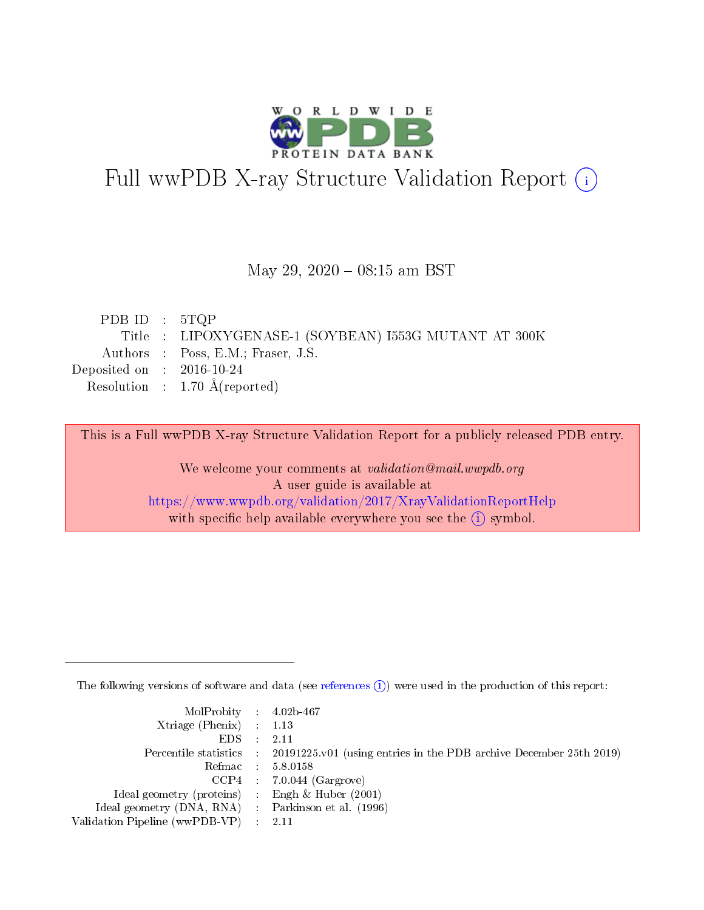

# Full wwPDB X-ray Structure Validation Report (i)

May 29, 2020 - 08:15 am BST

| PDB ID : $5 \text{TQP}$     |                                                       |
|-----------------------------|-------------------------------------------------------|
|                             | Title : LIPOXYGENASE-1 (SOYBEAN) I553G MUTANT AT 300K |
|                             | Authors : Poss, E.M.; Fraser, J.S.                    |
| Deposited on : $2016-10-24$ |                                                       |
|                             | Resolution : $1.70 \text{ Å}$ (reported)              |

This is a Full wwPDB X-ray Structure Validation Report for a publicly released PDB entry.

We welcome your comments at validation@mail.wwpdb.org A user guide is available at <https://www.wwpdb.org/validation/2017/XrayValidationReportHelp> with specific help available everywhere you see the  $(i)$  symbol.

The following versions of software and data (see [references](https://www.wwpdb.org/validation/2017/XrayValidationReportHelp#references)  $(i)$ ) were used in the production of this report:

| $MolProbability$ 4.02b-467                          |                                                                                            |
|-----------------------------------------------------|--------------------------------------------------------------------------------------------|
| Xtriage (Phenix) $: 1.13$                           |                                                                                            |
| $EDS$ :                                             | -2.11                                                                                      |
|                                                     | Percentile statistics : 20191225.v01 (using entries in the PDB archive December 25th 2019) |
|                                                     | Refmac : 5.8.0158                                                                          |
|                                                     | $CCP4$ : 7.0.044 (Gargrove)                                                                |
| Ideal geometry (proteins) : Engh $\&$ Huber (2001)  |                                                                                            |
| Ideal geometry (DNA, RNA) : Parkinson et al. (1996) |                                                                                            |
| Validation Pipeline (wwPDB-VP)                      | -2.11                                                                                      |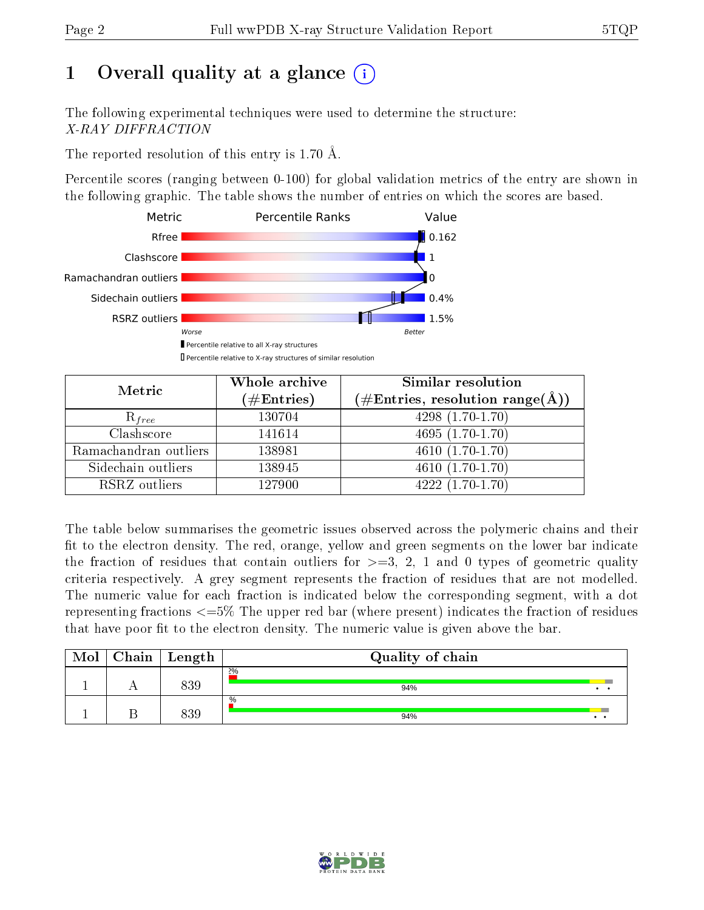# 1 [O](https://www.wwpdb.org/validation/2017/XrayValidationReportHelp#overall_quality)verall quality at a glance  $(i)$

The following experimental techniques were used to determine the structure: X-RAY DIFFRACTION

The reported resolution of this entry is 1.70 Å.

Percentile scores (ranging between 0-100) for global validation metrics of the entry are shown in the following graphic. The table shows the number of entries on which the scores are based.



| Metric                | Whole archive<br>$(\#\text{Entries})$ | Similar resolution<br>$(\#\text{Entries}, \text{resolution range}(\text{\AA}))$ |
|-----------------------|---------------------------------------|---------------------------------------------------------------------------------|
| $R_{free}$            | 130704                                | 4298 $(1.70-1.70)$                                                              |
| Clashscore            | 141614                                | $4695(1.70-1.70)$                                                               |
| Ramachandran outliers | 138981                                | $\overline{4610}$ $(1.70-1.70)$                                                 |
| Sidechain outliers    | 138945                                | $4610(1.70-1.70)$                                                               |
| RSRZ outliers         | 127900                                | $4222(1.70-1.70)$                                                               |

The table below summarises the geometric issues observed across the polymeric chains and their fit to the electron density. The red, orange, yellow and green segments on the lower bar indicate the fraction of residues that contain outliers for  $>=3, 2, 1$  and 0 types of geometric quality criteria respectively. A grey segment represents the fraction of residues that are not modelled. The numeric value for each fraction is indicated below the corresponding segment, with a dot representing fractions  $\epsilon=5\%$  The upper red bar (where present) indicates the fraction of residues that have poor fit to the electron density. The numeric value is given above the bar.

| Mol | $Chain \  Length$ | Quality of chain |     |  |  |  |
|-----|-------------------|------------------|-----|--|--|--|
|     | 839               | 2%<br>94%        |     |  |  |  |
|     | 339               | $\%$<br>94%      | . . |  |  |  |

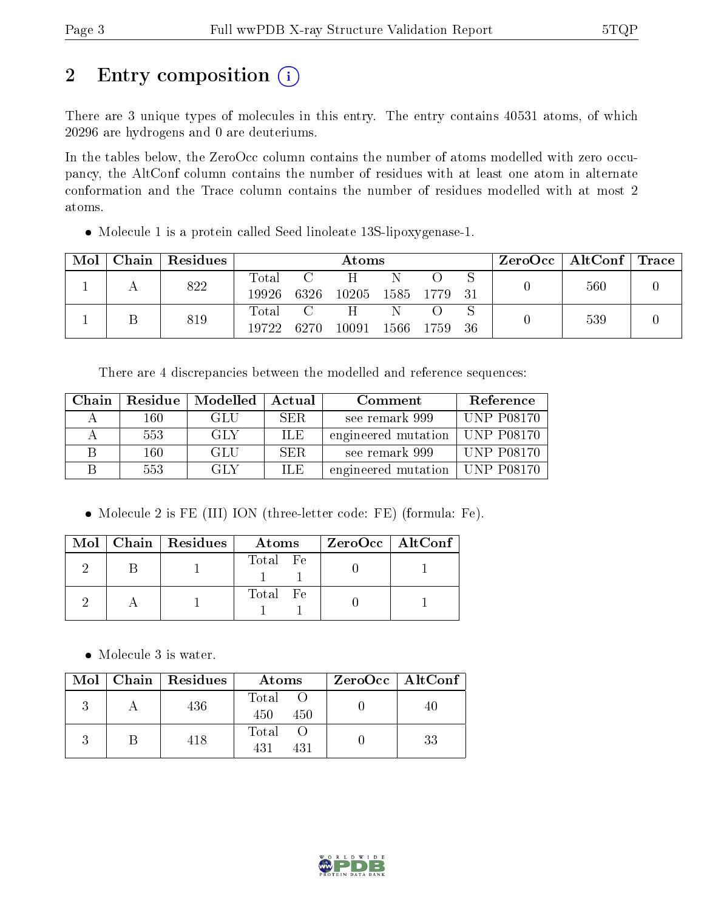# 2 Entry composition (i)

There are 3 unique types of molecules in this entry. The entry contains 40531 atoms, of which 20296 are hydrogens and 0 are deuteriums.

In the tables below, the ZeroOcc column contains the number of atoms modelled with zero occupancy, the AltConf column contains the number of residues with at least one atom in alternate conformation and the Trace column contains the number of residues modelled with at most 2 atoms.

Molecule 1 is a protein called Seed linoleate 13S-lipoxygenase-1.

| Mol | Chain | Residues | Atoms |       |      |      |     | $ZeroOcc \   \ AltConf \  $ | $\mid \text{Trace}$ |  |
|-----|-------|----------|-------|-------|------|------|-----|-----------------------------|---------------------|--|
|     |       | 822      | Total |       |      |      |     |                             | 560                 |  |
|     |       | 19926    | 6326  | 10205 | 1585 | 1779 | -31 |                             |                     |  |
|     |       | 819      | Total |       |      | Ν    |     |                             | 539                 |  |
|     |       | 19722    | 6270  | 10091 | 1566 | 1759 | 36  |                             |                     |  |

There are 4 discrepancies between the modelled and reference sequences:

| Chain | Residue | Modelled | Actual     | Comment                          | Reference         |
|-------|---------|----------|------------|----------------------------------|-------------------|
|       | 160     | GLU      | <b>SER</b> | see remark 999                   | <b>UNP P08170</b> |
|       | 553     | GLY      | ILE.       | engineered mutation   UNP P08170 |                   |
|       | $160\,$ | GLU      | <b>SER</b> | see remark 999                   | $ $ UNP P08170    |
|       | 553     | GLY      | ILE.       | engineered mutation   UNP P08170 |                   |

Molecule 2 is FE (III) ION (three-letter code: FE) (formula: Fe).

|  | $Mol$   Chain   Residues | Atoms    | $ZeroOcc$   AltConf |  |
|--|--------------------------|----------|---------------------|--|
|  |                          | Total Fe |                     |  |
|  |                          | Total Fe |                     |  |

• Molecule 3 is water.

|  | Mol   Chain   Residues | Atoms               | ZeroOcc   AltConf |
|--|------------------------|---------------------|-------------------|
|  | 436                    | Total<br>450<br>450 | 40                |
|  | 418                    | Total<br>431<br>431 | 33                |

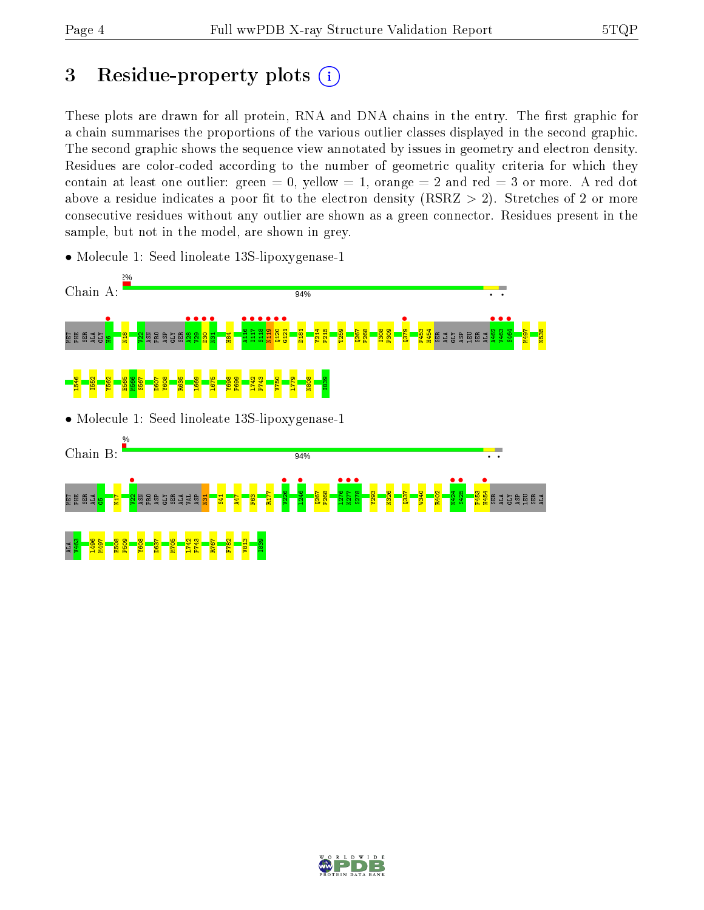# 3 Residue-property plots  $(i)$

These plots are drawn for all protein, RNA and DNA chains in the entry. The first graphic for a chain summarises the proportions of the various outlier classes displayed in the second graphic. The second graphic shows the sequence view annotated by issues in geometry and electron density. Residues are color-coded according to the number of geometric quality criteria for which they contain at least one outlier: green  $= 0$ , yellow  $= 1$ , orange  $= 2$  and red  $= 3$  or more. A red dot above a residue indicates a poor fit to the electron density (RSRZ  $> 2$ ). Stretches of 2 or more consecutive residues without any outlier are shown as a green connector. Residues present in the sample, but not in the model, are shown in grey.



• Molecule 1: Seed linoleate 13S-lipoxygenase-1

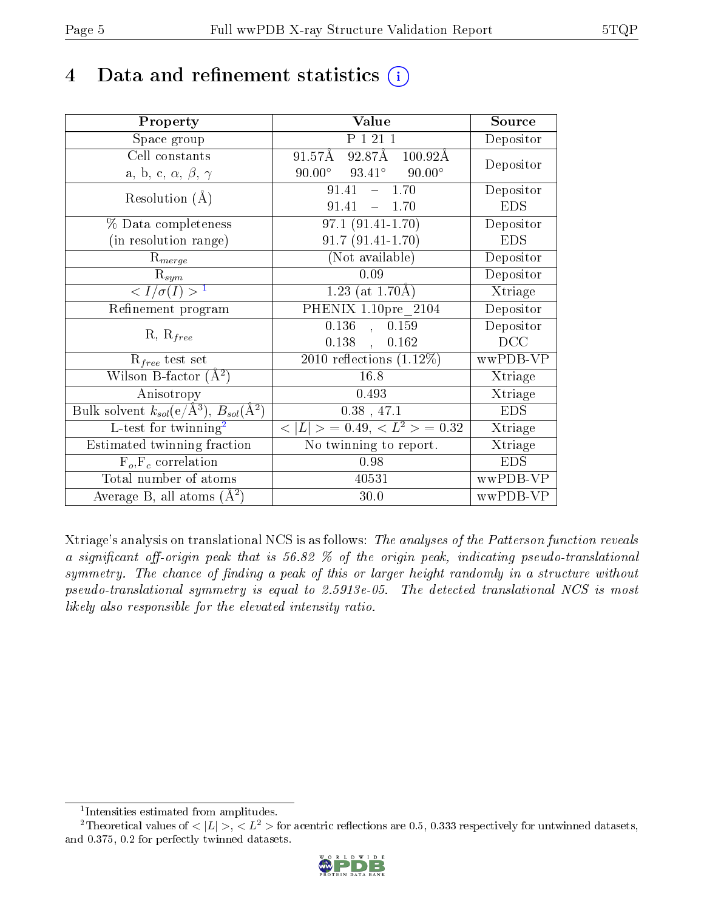# 4 Data and refinement statistics  $(i)$

| Property                                                                | Value                                            | Source     |
|-------------------------------------------------------------------------|--------------------------------------------------|------------|
| Space group                                                             | P 1 21 1                                         | Depositor  |
| Cell constants                                                          | $91.57\AA$ $92.87\AA$ $100.92\AA$                | Depositor  |
| a, b, c, $\alpha$ , $\beta$ , $\gamma$                                  | $90.00^{\circ}$ $93.41^{\circ}$<br>$90.00^\circ$ |            |
| Resolution $(A)$                                                        | 91.41<br>$-1.70$                                 | Depositor  |
|                                                                         | 91.41<br>$-1.70$                                 | <b>EDS</b> |
| % Data completeness                                                     | $97.1(91.41-1.70)$                               | Depositor  |
| (in resolution range)                                                   | $91.7(91.41-1.70)$                               | <b>EDS</b> |
| $R_{merge}$                                                             | (Not available)                                  | Depositor  |
| $\mathrm{R}_{sym}$                                                      | 0.09                                             | Depositor  |
| $\langle I/\sigma(I) \rangle^{-1}$                                      | 1.23 (at $1.70\text{\AA}$ )                      | Xtriage    |
| Refinement program                                                      | PHENIX 1.10pre 2104                              | Depositor  |
|                                                                         | 0.136<br>0.159<br>$\mathbf{A}$                   | Depositor  |
| $R, R_{free}$                                                           | $0.138$ ,<br>0.162                               | DCC        |
| $R_{free}$ test set                                                     | 2010 reflections $(1.12\%)$                      | wwPDB-VP   |
| Wilson B-factor $(A^2)$                                                 | 16.8                                             | Xtriage    |
| Anisotropy                                                              | 0.493                                            | Xtriage    |
| Bulk solvent $k_{sol}(\mathrm{e}/\mathrm{A}^3),\,B_{sol}(\mathrm{A}^2)$ | $0.38$ , 47.1                                    | <b>EDS</b> |
| L-test for twinning <sup>2</sup>                                        | $< L >$ = 0.49, $< L2$ > = 0.32                  | Xtriage    |
| Estimated twinning fraction                                             | No twinning to report.                           | Xtriage    |
| $\overline{F_o, F_c}$ correlation                                       | 0.98                                             | <b>EDS</b> |
| Total number of atoms                                                   | 40531                                            | wwPDB-VP   |
| Average B, all atoms $(A^2)$                                            | 30.0                                             | wwPDB-VP   |

Xtriage's analysis on translational NCS is as follows: The analyses of the Patterson function reveals a significant off-origin peak that is 56.82  $\%$  of the origin peak, indicating pseudo-translational symmetry. The chance of finding a peak of this or larger height randomly in a structure without pseudo-translational symmetry is equal to 2.5913e-05. The detected translational NCS is most likely also responsible for the elevated intensity ratio.

<sup>&</sup>lt;sup>2</sup>Theoretical values of  $\langle |L| \rangle$ ,  $\langle L^2 \rangle$  for acentric reflections are 0.5, 0.333 respectively for untwinned datasets, and 0.375, 0.2 for perfectly twinned datasets.



<span id="page-4-1"></span><span id="page-4-0"></span><sup>1</sup> Intensities estimated from amplitudes.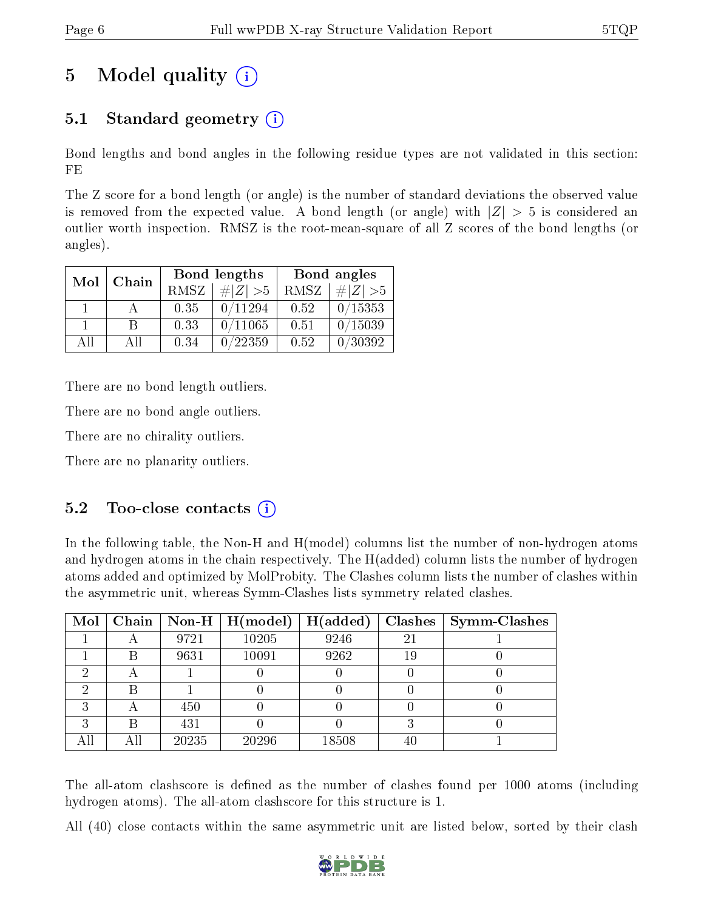# 5 Model quality  $(i)$

## 5.1 Standard geometry (i)

Bond lengths and bond angles in the following residue types are not validated in this section: FE

The Z score for a bond length (or angle) is the number of standard deviations the observed value is removed from the expected value. A bond length (or angle) with  $|Z| > 5$  is considered an outlier worth inspection. RMSZ is the root-mean-square of all Z scores of the bond lengths (or angles).

| Mol | Chain |      | Bond lengths | Bond angles |             |  |
|-----|-------|------|--------------|-------------|-------------|--|
|     |       | RMSZ | $\# Z  > 5$  | RMSZ        | $\ Z\  > 5$ |  |
|     |       | 0.35 | 0/11294      | 0.52        | 0/15353     |  |
|     | B     | 0.33 | 0/11065      | 0.51        | 0/15039     |  |
| AH  | АH    | 0.34 | 0/22359      | 0.52        | 30392       |  |

There are no bond length outliers.

There are no bond angle outliers.

There are no chirality outliers.

There are no planarity outliers.

### $5.2$  Too-close contacts  $(i)$

In the following table, the Non-H and H(model) columns list the number of non-hydrogen atoms and hydrogen atoms in the chain respectively. The H(added) column lists the number of hydrogen atoms added and optimized by MolProbity. The Clashes column lists the number of clashes within the asymmetric unit, whereas Symm-Clashes lists symmetry related clashes.

| $\bf{Mol}$ |                          |       | $\boxed{\text{Chain}}$   Non-H   H(model) | H(added) |    | $Clashes$   Symm-Clashes |
|------------|--------------------------|-------|-------------------------------------------|----------|----|--------------------------|
|            |                          | 9721  | 10205                                     | 9246     | 21 |                          |
|            | В                        | 9631  | 10091                                     | 9262     | 19 |                          |
| ച          | $\overline{\phantom{a}}$ |       |                                           |          |    |                          |
|            | В                        |       |                                           |          |    |                          |
| 9          | А                        | 450   |                                           |          |    |                          |
| ົ          | В                        | 431   |                                           |          |    |                          |
|            | Αll                      | 20235 | 20296                                     | 18508    | 40 |                          |

The all-atom clashscore is defined as the number of clashes found per 1000 atoms (including hydrogen atoms). The all-atom clashscore for this structure is 1.

All (40) close contacts within the same asymmetric unit are listed below, sorted by their clash

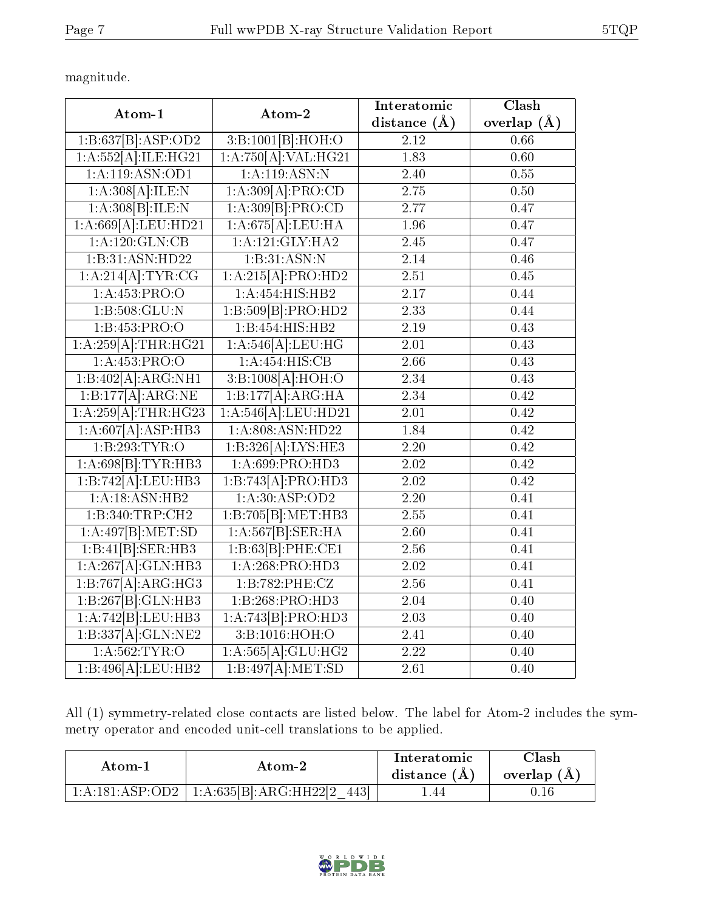magnitude.

| Atom-1                       | Atom-2                           | Interatomic       | Clash             |
|------------------------------|----------------------------------|-------------------|-------------------|
|                              |                                  | distance $(A)$    | overlap $(A)$     |
| 1:B:637[B]:ASP:OD2           | 3:B:1001[B]:HOH:O                | $\overline{2.12}$ | 0.66              |
| 1:A:552[A]:ILE:HG21          | 1:A:750[A]:VAL:HG21              | 1.83              | 0.60              |
| 1: A:119: ASN:OD1            | 1:A:119:ASN:N                    | 2.40              | 0.55              |
| 1:A:308[A]:ILE:N             | 1:A:309[A]:PRO:CD                | 2.75              | 0.50              |
| 1:A:308[B]:ILE:N             | 1:A:309[B]:PRO:CD                | 2.77              | 0.47              |
| 1:A:669[A]:LEU:HD21          | 1:A:675[A]:LEU:HA                | 1.96              | 0.47              |
| 1: A: 120: GLN: CB           | 1: A: 121: GLY: HA2              | 2.45              | 0.47              |
| 1:B:31:ASN:HD22              | 1:B:31:ASN:N                     | 2.14              | 0.46              |
| 1:A:214[A]:TYR:CG            | 1:A:215[A]:PRO:HD2               | 2.51              | 0.45              |
| 1: A: 453: PRO:O             | 1:A:454:HIS:HB2                  | $\overline{2.17}$ | 0.44              |
| 1: B: 508: GLU: N            | 1:B:509[B]:PRO:HD2               | 2.33              | 0.44              |
| 1:B:453:PRO:O                | 1:B:454:HIS:HB2                  | 2.19              | 0.43              |
| $1:A:259[A]:\text{THR}:HG21$ | 1:A:546[A].LEU:HG                | $\overline{2.01}$ | 0.43              |
| 1:A:453:PRO:O                | 1:A:454:HIS:CB                   | 2.66              | 0.43              |
| 1:B:402[A]:ARG:NH1           | 3:B:1008[A]:HOH:O                | 2.34              | 0.43              |
| 1:B:177[A]:ARG:NE            | 1:B:177[A]:ARG:HA                | 2.34              | 0.42              |
| 1:A:259[A]:THR:HG23          | 1:A:546[A]:LEU:HD21              | $\overline{2.01}$ | $\overline{0.42}$ |
| 1:A:607[A]:ASP:HB3           | $1: A:808: \overline{A}$ SN:HD22 | 1.84              | 0.42              |
| 1:B:293:TYR:O                | 1:B:326[A]:LYS:HE3               | 2.20              | 0.42              |
| 1:A:698[B]:TYR:HB3           | 1: A:699: PRO:HD3                | $\overline{2.02}$ | 0.42              |
| 1:B:742[A].LEU:HB3           | 1:B:743[A]:PRO:HD3               | 2.02              | 0.42              |
| 1: A:18: ASN:HB2             | 1: A:30: ASP:OD2                 | $\overline{2.20}$ | 0.41              |
| 1:B:340:TRP:CH2              | 1:B:705[B]:MET:HB3               | 2.55              | 0.41              |
| 1:A:497[B]:MET:SD            | 1:A:567[B]:SER:HA                | 2.60              | 0.41              |
| 1:B:41[B]:SER:HB3            | 1:B:63[B]:PHE:CE1                | $2.56\,$          | 0.41              |
| 1:A:267[A]:GLN:HB3           | 1:A:268:PRO:HD3                  | 2.02              | 0.41              |
| 1:B:767[A]:ARG:HG3           | 1: B:782:PHE: CZ                 | 2.56              | 0.41              |
| 1:B:267[B]:GLN:HB3           | 1:B:268:PRO:H <sub>D3</sub>      | $\overline{2.04}$ | 0.40              |
| 1:A:742[B].LEU:HB3           | 1:A:743[B]:PRO:HD3               | 2.03              | 0.40              |
| 1:B:337[A]:GLN:NE2           | 3:B:1016:HOH:O                   | 2.41              | 0.40              |
| 1: A:562:TYR:O               | 1:A:565[A]:GLU:HG2               | 2.22              | 0.40              |
| 1:B:496[A]:LEU:HB2           | 1:B:497[A]: MET:SD               | $\overline{2.61}$ | 0.40              |

All (1) symmetry-related close contacts are listed below. The label for Atom-2 includes the symmetry operator and encoded unit-cell translations to be applied.

| Atom-1 | $\bold{Atom\text{-}2}$                           | Interatomic<br>distance $(A)$ | Clash<br>overlap $(A)$ |
|--------|--------------------------------------------------|-------------------------------|------------------------|
|        | $1:A:181:ASP:OD2   1:A:635 B :ARG:HH22 2$<br>443 | .44                           | 0.16                   |

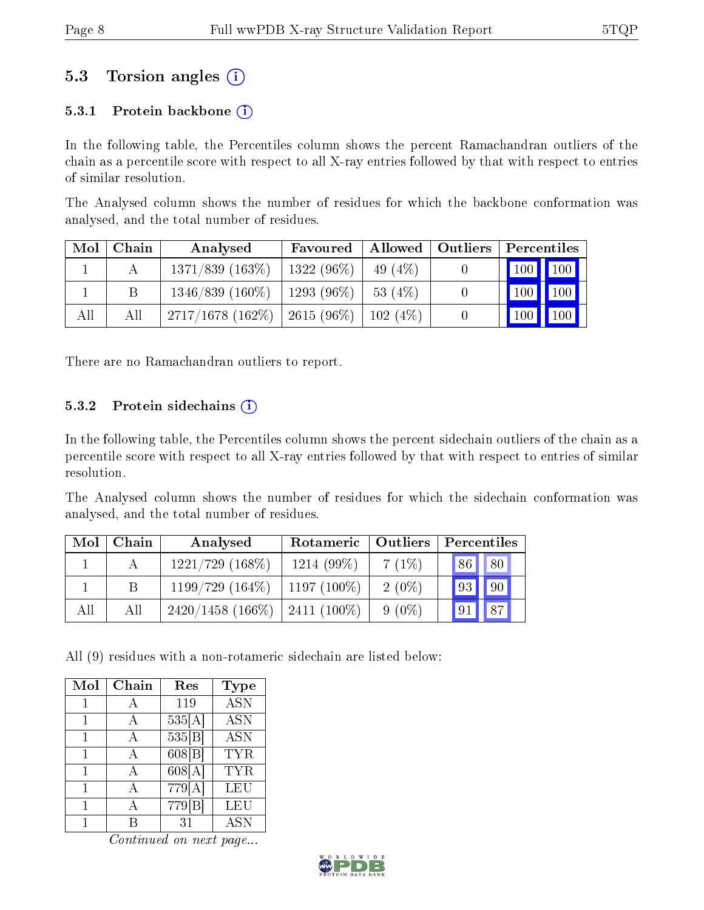### 5.3 Torsion angles (i)

#### 5.3.1 Protein backbone  $(i)$

In the following table, the Percentiles column shows the percent Ramachandran outliers of the chain as a percentile score with respect to all X-ray entries followed by that with respect to entries of similar resolution.

The Analysed column shows the number of residues for which the backbone conformation was analysed, and the total number of residues.

| Mol | Chain | Analysed                              | Favoured                       |            | Allowed   Outliers | Percentiles |                                 |
|-----|-------|---------------------------------------|--------------------------------|------------|--------------------|-------------|---------------------------------|
|     |       | $1371/839$ $(163\%)$                  | $\pm$ 1322 (96%) $\pm$         | 49 $(4\%)$ |                    | 100 100     |                                 |
|     |       | $1346/839$ $(160\%)$                  | $\perp$ 1293 (96%) $\parallel$ | $-53(4%)$  |                    |             | 100 100                         |
| All | All   | $2717/1678$ $(162\%)$   2615 $(96\%)$ |                                | 102(4%)    |                    |             | $\vert$ 100 $\vert$ 100 $\vert$ |

There are no Ramachandran outliers to report.

#### 5.3.2 Protein sidechains  $(i)$

In the following table, the Percentiles column shows the percent sidechain outliers of the chain as a percentile score with respect to all X-ray entries followed by that with respect to entries of similar resolution.

The Analysed column shows the number of residues for which the sidechain conformation was analysed, and the total number of residues.

| Mol | Chain | Analysed            | Rotameric     | $\vert$ Outliers | Percentiles            |
|-----|-------|---------------------|---------------|------------------|------------------------|
|     |       | $1221/729$ (168\%)  | $1214(99\%)$  | 7(1%)            | 86 <br>80 <sup>1</sup> |
|     |       | $1199/729(164\%)$   | $1197(100\%)$ | $2(0\%)$         | $\sqrt{90}$<br> 93     |
| All | All   | $2420/1458$ (166\%) | $2411(100\%)$ | $9(0\%)$         | 87<br> 91              |

All (9) residues with a non-rotameric sidechain are listed below:

| Mol | Chain | $\operatorname{Res}$ | Type             |
|-----|-------|----------------------|------------------|
| 1   |       | 119                  | $\overline{ASN}$ |
| 1   | А     | 535[A]               | <b>ASN</b>       |
| 1   | А     | 535 B                | $\overline{ASN}$ |
| 1   | А     | 608 B                | TYR              |
|     | А     | 608[A]               | <b>TYR</b>       |
|     | А     | 779[A]               | LEU              |
|     |       | 779 <sub>[B]</sub>   | LEU              |
|     |       | 31                   | $AS\overline{N}$ |

Continued on next page...

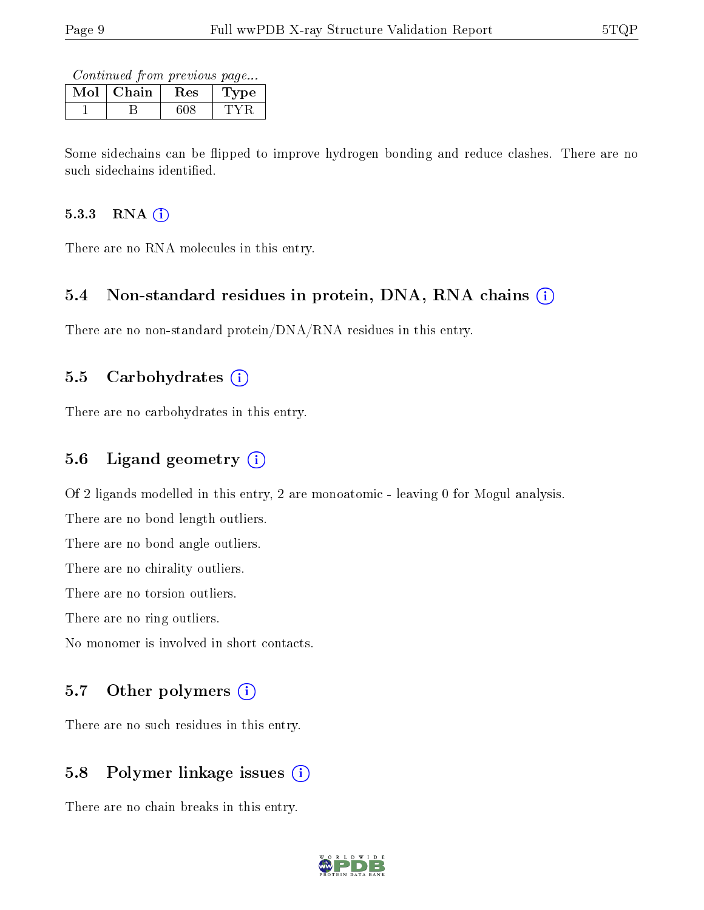Continued from previous page...

| וחו | Chain | Res | pе |
|-----|-------|-----|----|
|     |       |     |    |

Some sidechains can be flipped to improve hydrogen bonding and reduce clashes. There are no such sidechains identified.

#### $5.3.3$  RNA  $(i)$

There are no RNA molecules in this entry.

### 5.4 Non-standard residues in protein, DNA, RNA chains (i)

There are no non-standard protein/DNA/RNA residues in this entry.

#### 5.5 Carbohydrates  $(i)$

There are no carbohydrates in this entry.

### 5.6 Ligand geometry (i)

Of 2 ligands modelled in this entry, 2 are monoatomic - leaving 0 for Mogul analysis.

There are no bond length outliers.

There are no bond angle outliers.

There are no chirality outliers.

There are no torsion outliers.

There are no ring outliers.

No monomer is involved in short contacts.

#### 5.7 [O](https://www.wwpdb.org/validation/2017/XrayValidationReportHelp#nonstandard_residues_and_ligands)ther polymers (i)

There are no such residues in this entry.

### 5.8 Polymer linkage issues (i)

There are no chain breaks in this entry.

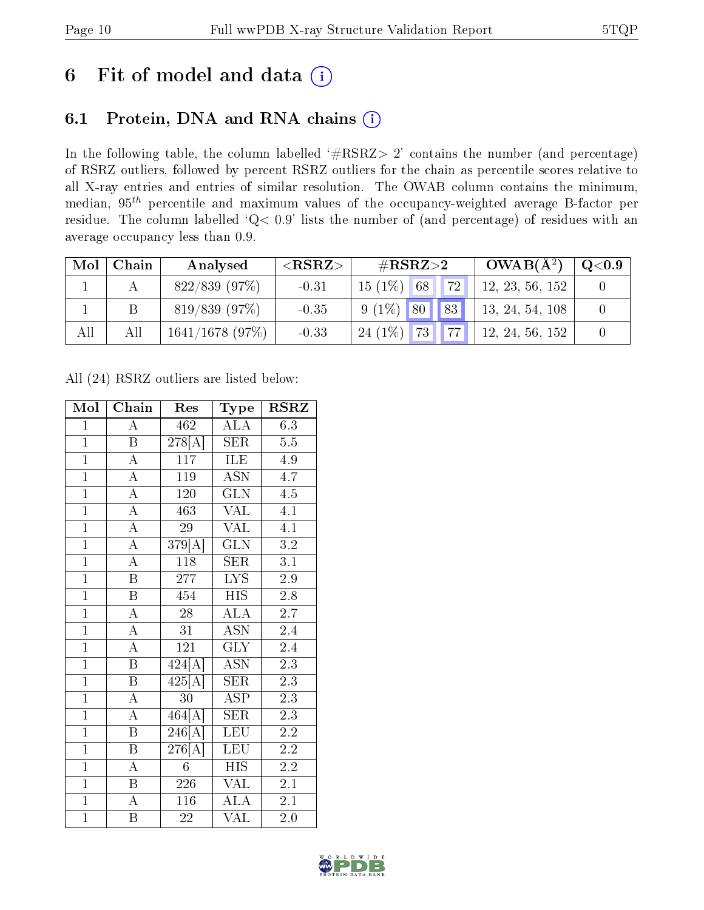## 6 Fit of model and data  $(i)$

### 6.1 Protein, DNA and RNA chains  $(i)$

In the following table, the column labelled  $#RSRZ> 2'$  contains the number (and percentage) of RSRZ outliers, followed by percent RSRZ outliers for the chain as percentile scores relative to all X-ray entries and entries of similar resolution. The OWAB column contains the minimum, median,  $95<sup>th</sup>$  percentile and maximum values of the occupancy-weighted average B-factor per residue. The column labelled ' $Q< 0.9$ ' lists the number of (and percentage) of residues with an average occupancy less than 0.9.

| Mol | Chain | Analysed          | ${ <\hspace{-1.5pt}{\mathrm{RSRZ}} \hspace{-1.5pt}>}$ | $\#\text{RSRZ}{>}2$           | $OWAB(A^2)$     | $\mathrm{Q} {<} 0.9$ |
|-----|-------|-------------------|-------------------------------------------------------|-------------------------------|-----------------|----------------------|
|     |       | $822/839$ (97%)   | $-0.31$                                               | $15(1\%)$<br><b>72</b><br> 68 | 12, 23, 56, 152 |                      |
|     |       | $819/839$ (97%)   | $-0.35$                                               | $9(1\%)$ 80 83                | 13, 24, 54, 108 |                      |
| All | Αll   | $1641/1678$ (97%) | $-0.33$                                               | $24(1\%)$<br>77<br><b>73</b>  | 12, 24, 56, 152 |                      |

All (24) RSRZ outliers are listed below:

| Mol            | Chain                   | Res                      | $_{\rm Type}$           | <b>RSRZ</b>      |
|----------------|-------------------------|--------------------------|-------------------------|------------------|
| $\mathbf{1}$   | Ā                       | 462                      | <b>ALA</b>              | 6.3              |
| $\overline{1}$ | $\mathbf{B}$            | $278\vert\bar{A}\bar{]}$ | <b>SER</b>              | 5.5              |
| $\overline{1}$ | $\overline{\rm A}$      | $\overline{117}$         | ILE                     | 4.9              |
| $\overline{1}$ | $\overline{\rm A}$      | 119                      | ASN                     | $4.\overline{7}$ |
| $\overline{1}$ | $\overline{\rm A}$      | 120                      | $\overline{\text{GLN}}$ | 4.5              |
| $\overline{1}$ | $\overline{\rm A}$      | 463                      | $\sqrt{\mathrm{AL}}$    | 4.1              |
| $\overline{1}$ | $\overline{\rm A}$      | 29                       | <b>VAL</b>              | 4.1              |
| $\overline{1}$ | $\overline{A}$          | $\overline{379[A]}$      | $\overline{\text{GLN}}$ | 3.2              |
| $\overline{1}$ | $\overline{\rm A}$      | 118                      | $\overline{\text{SER}}$ | 3.1              |
| $\overline{1}$ | $\overline{\mathbf{B}}$ | 277                      | $\overline{\text{LYS}}$ | $\overline{2.9}$ |
| $\overline{1}$ | $\overline{\mathbf{B}}$ | 454                      | <b>HIS</b>              | 2.8              |
| $\overline{1}$ | $\overline{\rm A}$      | $\overline{28}$          | $\overline{\rm ALA}$    | $\overline{2.7}$ |
| $\overline{1}$ | $\overline{\rm A}$      | 31                       | $\overline{\text{ASN}}$ | 2.4              |
| $\overline{1}$ | $\overline{\rm A}$      | 121                      | $\overline{\text{GLY}}$ | 2.4              |
| $\overline{1}$ | $\overline{\mathbf{B}}$ | 424[A]                   | <b>ASN</b>              | $\overline{2.3}$ |
| $\overline{1}$ | $\overline{B}$          | $\overline{425[A]}$      | <b>SER</b>              | $2.3\,$          |
| $\overline{1}$ | $\overline{A}$          | $\overline{3}0$          | $\overline{\text{ASP}}$ | $\overline{2.3}$ |
| $\overline{1}$ | $\overline{\rm A}$      | 464[A]                   | <b>SER</b>              | 2.3              |
| $\overline{1}$ | $\overline{\mathrm{B}}$ | 246[A]                   | <b>LEU</b>              | 2.2              |
| $\overline{1}$ | B                       | 276[A]                   | <b>LEU</b>              | 2.2              |
| $\overline{1}$ | $\overline{\rm A}$      | 6                        | <b>HIS</b>              | 2.2              |
| $\overline{1}$ | $\mathbf B$             | 226                      | VAL                     | 2.1              |
| $\overline{1}$ | $\overline{\rm A}$      | 116                      | <b>ALA</b>              | 2.1              |
| $\overline{1}$ | Β                       | 22                       | $\overline{\text{VAL}}$ | 2.0              |